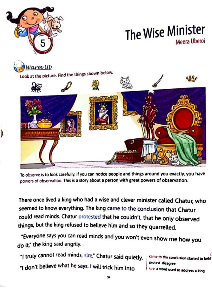

## The Wise Minister Meera Uberni

Varm UD Look at the picture. Find the things shown below.

To observe is to look carefully. If you can notice people and things around you exactly, you have nowers of observation. This is a story about a person with great powers of observation.

There once lived a king who had a wise and clever minister called Chatur, who seemed to know everything. The king came to the conclusion that Chatur could read minds. Chatur protested that he couldn't, that he only observed things, but the king refused to believe him and so they quarrelled.

"Everyone says you can read minds and you won't even show me how you do it," the king said angrily.

"I truly cannot read minds, sire," Chatur said quietly. "I don't believe what he says. I will trick him into

protest disagree sire a word used to address a king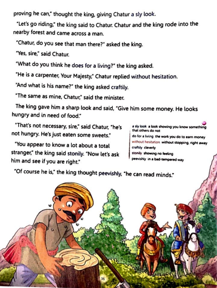proving he can," thought the king, giving Chatur a sly look.

"Let's go riding," the king said to Chatur. Chatur and the king rode into the nearby forest and came across a man.

"Chatur, do you see that man there?" asked the king.

"Yes. sire," said Chatur

"What do you think he does for a living?" the king asked.

"He is a carpenter, Your Majesty," Chatur replied without hesitation.

"And what is his name?" the king asked craftily.

"The same as mine, Chatur," said the minister.

The king gave him a sharp look and said. "Give him some money. He looks hungry and in need of food."

"That's not necessary, sire." said Chatur. "he's not hungry. He's just eaten some sweets."

"You appear to know a lot about a total stranger," the king said stonily. "Now let's ask him and see if you are right."

a sly look a look showing you know that others do not

do for a living the work you do to earn mon

without hesitation without stopping, right away craftily cleverly

stonily showing no feeling

peevishly in a bad-tempered way

"Of course he is," the king thought peevishly, "he can read minds."